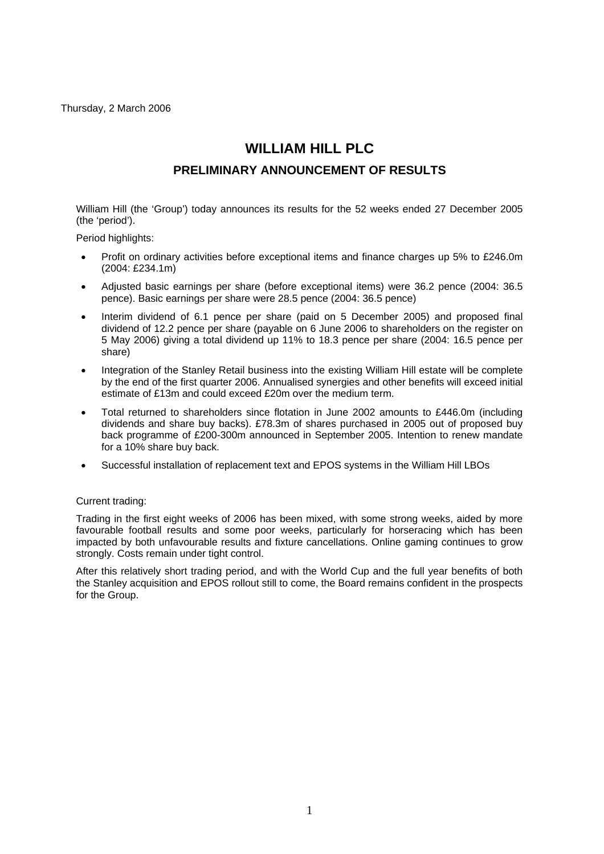Thursday, 2 March 2006

# **WILLIAM HILL PLC**

# **PRELIMINARY ANNOUNCEMENT OF RESULTS**

William Hill (the 'Group') today announces its results for the 52 weeks ended 27 December 2005 (the 'period').

Period highlights:

- Profit on ordinary activities before exceptional items and finance charges up 5% to £246.0m (2004: £234.1m)
- Adjusted basic earnings per share (before exceptional items) were 36.2 pence (2004: 36.5 pence). Basic earnings per share were 28.5 pence (2004: 36.5 pence)
- Interim dividend of 6.1 pence per share (paid on 5 December 2005) and proposed final dividend of 12.2 pence per share (payable on 6 June 2006 to shareholders on the register on 5 May 2006) giving a total dividend up 11% to 18.3 pence per share (2004: 16.5 pence per share)
- Integration of the Stanley Retail business into the existing William Hill estate will be complete by the end of the first quarter 2006. Annualised synergies and other benefits will exceed initial estimate of £13m and could exceed £20m over the medium term.
- Total returned to shareholders since flotation in June 2002 amounts to £446.0m (including dividends and share buy backs). £78.3m of shares purchased in 2005 out of proposed buy back programme of £200-300m announced in September 2005. Intention to renew mandate for a 10% share buy back.
- Successful installation of replacement text and EPOS systems in the William Hill LBOs

#### Current trading:

Trading in the first eight weeks of 2006 has been mixed, with some strong weeks, aided by more favourable football results and some poor weeks, particularly for horseracing which has been impacted by both unfavourable results and fixture cancellations. Online gaming continues to grow strongly. Costs remain under tight control.

After this relatively short trading period, and with the World Cup and the full year benefits of both the Stanley acquisition and EPOS rollout still to come, the Board remains confident in the prospects for the Group.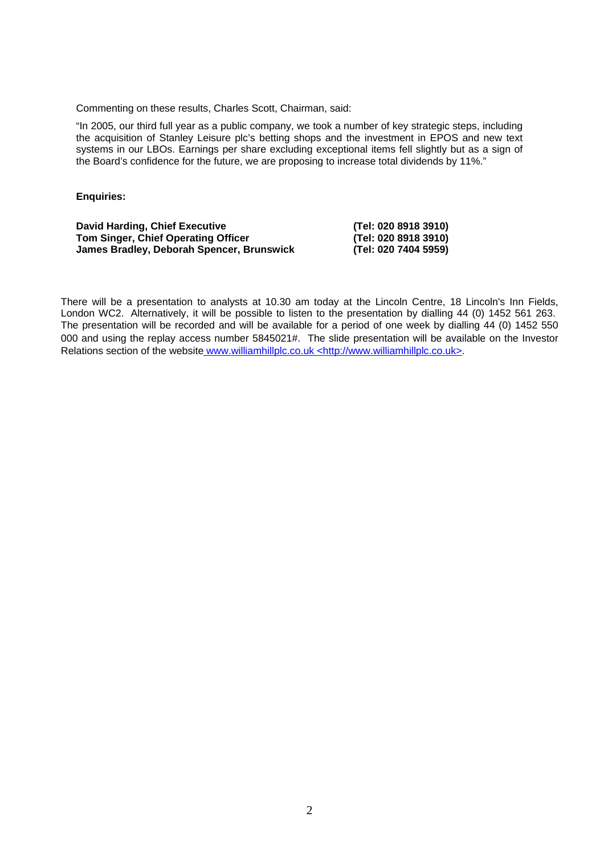Commenting on these results, Charles Scott, Chairman, said:

"In 2005, our third full year as a public company, we took a number of key strategic steps, including the acquisition of Stanley Leisure plc's betting shops and the investment in EPOS and new text systems in our LBOs. Earnings per share excluding exceptional items fell slightly but as a sign of the Board's confidence for the future, we are proposing to increase total dividends by 11%."

#### **Enquiries:**

| <b>David Harding, Chief Executive</b>      | (Tel: 020 8918 3910) |
|--------------------------------------------|----------------------|
| <b>Tom Singer, Chief Operating Officer</b> | (Tel: 020 8918 3910) |
| James Bradley, Deborah Spencer, Brunswick  | (Tel: 020 7404 5959) |

There will be a presentation to analysts at 10.30 am today at the Lincoln Centre, 18 Lincoln's Inn Fields, London WC2. Alternatively, it will be possible to listen to the presentation by dialling 44 (0) 1452 561 263. The presentation will be recorded and will be available for a period of one week by dialling 44 (0) 1452 550 000 and using the replay access number 5845021#. The slide presentation will be available on the Investor Relations section of the website www.williamhillplc.co.uk [<http://www.williamhillplc.co.uk](http://www.williamhillplc.co.uk/)>.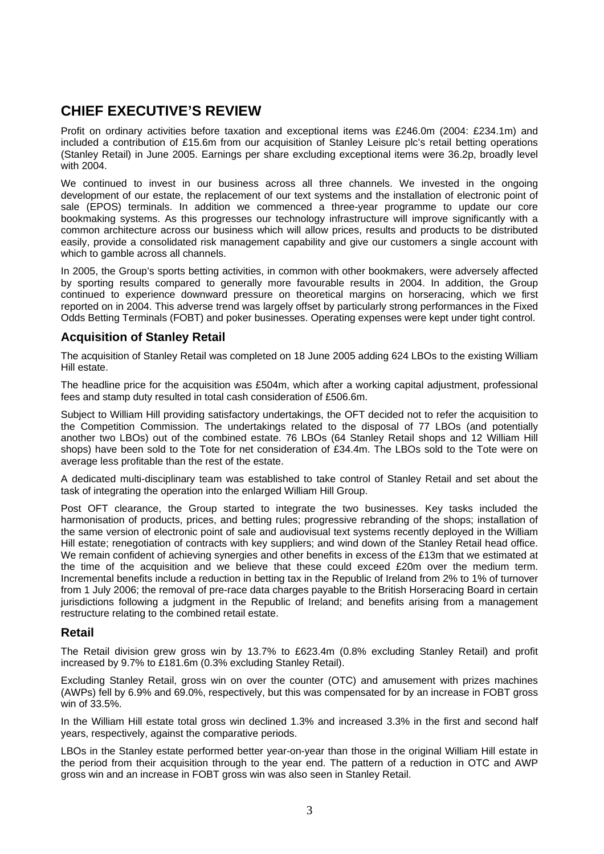# **CHIEF EXECUTIVE'S REVIEW**

Profit on ordinary activities before taxation and exceptional items was £246.0m (2004: £234.1m) and included a contribution of £15.6m from our acquisition of Stanley Leisure plc's retail betting operations (Stanley Retail) in June 2005. Earnings per share excluding exceptional items were 36.2p, broadly level with 2004.

We continued to invest in our business across all three channels. We invested in the ongoing development of our estate, the replacement of our text systems and the installation of electronic point of sale (EPOS) terminals. In addition we commenced a three-year programme to update our core bookmaking systems. As this progresses our technology infrastructure will improve significantly with a common architecture across our business which will allow prices, results and products to be distributed easily, provide a consolidated risk management capability and give our customers a single account with which to gamble across all channels.

In 2005, the Group's sports betting activities, in common with other bookmakers, were adversely affected by sporting results compared to generally more favourable results in 2004. In addition, the Group continued to experience downward pressure on theoretical margins on horseracing, which we first reported on in 2004. This adverse trend was largely offset by particularly strong performances in the Fixed Odds Betting Terminals (FOBT) and poker businesses. Operating expenses were kept under tight control.

### **Acquisition of Stanley Retail**

The acquisition of Stanley Retail was completed on 18 June 2005 adding 624 LBOs to the existing William Hill estate.

The headline price for the acquisition was £504m, which after a working capital adjustment, professional fees and stamp duty resulted in total cash consideration of £506.6m.

Subject to William Hill providing satisfactory undertakings, the OFT decided not to refer the acquisition to the Competition Commission. The undertakings related to the disposal of 77 LBOs (and potentially another two LBOs) out of the combined estate. 76 LBOs (64 Stanley Retail shops and 12 William Hill shops) have been sold to the Tote for net consideration of £34.4m. The LBOs sold to the Tote were on average less profitable than the rest of the estate.

A dedicated multi-disciplinary team was established to take control of Stanley Retail and set about the task of integrating the operation into the enlarged William Hill Group.

Post OFT clearance, the Group started to integrate the two businesses. Key tasks included the harmonisation of products, prices, and betting rules; progressive rebranding of the shops; installation of the same version of electronic point of sale and audiovisual text systems recently deployed in the William Hill estate; renegotiation of contracts with key suppliers; and wind down of the Stanley Retail head office. We remain confident of achieving synergies and other benefits in excess of the £13m that we estimated at the time of the acquisition and we believe that these could exceed £20m over the medium term. Incremental benefits include a reduction in betting tax in the Republic of Ireland from 2% to 1% of turnover from 1 July 2006; the removal of pre-race data charges payable to the British Horseracing Board in certain jurisdictions following a judgment in the Republic of Ireland; and benefits arising from a management restructure relating to the combined retail estate.

### **Retail**

The Retail division grew gross win by 13.7% to £623.4m (0.8% excluding Stanley Retail) and profit increased by 9.7% to £181.6m (0.3% excluding Stanley Retail).

Excluding Stanley Retail, gross win on over the counter (OTC) and amusement with prizes machines (AWPs) fell by 6.9% and 69.0%, respectively, but this was compensated for by an increase in FOBT gross win of 33.5%.

In the William Hill estate total gross win declined 1.3% and increased 3.3% in the first and second half years, respectively, against the comparative periods.

LBOs in the Stanley estate performed better year-on-year than those in the original William Hill estate in the period from their acquisition through to the year end. The pattern of a reduction in OTC and AWP gross win and an increase in FOBT gross win was also seen in Stanley Retail.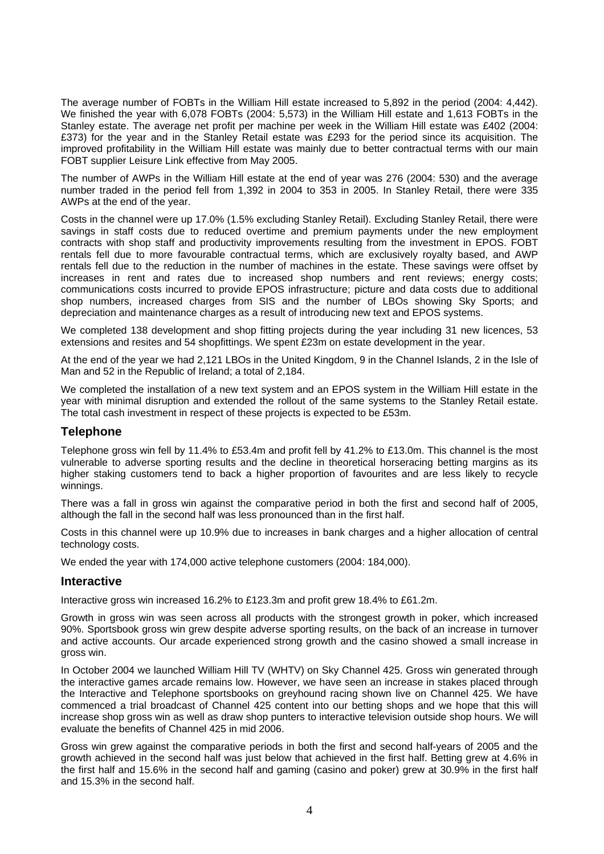The average number of FOBTs in the William Hill estate increased to 5,892 in the period (2004: 4,442). We finished the year with 6,078 FOBTs (2004: 5,573) in the William Hill estate and 1,613 FOBTs in the Stanley estate. The average net profit per machine per week in the William Hill estate was £402 (2004: £373) for the year and in the Stanley Retail estate was £293 for the period since its acquisition. The improved profitability in the William Hill estate was mainly due to better contractual terms with our main FOBT supplier Leisure Link effective from May 2005.

The number of AWPs in the William Hill estate at the end of year was 276 (2004: 530) and the average number traded in the period fell from 1,392 in 2004 to 353 in 2005. In Stanley Retail, there were 335 AWPs at the end of the year.

Costs in the channel were up 17.0% (1.5% excluding Stanley Retail). Excluding Stanley Retail, there were savings in staff costs due to reduced overtime and premium payments under the new employment contracts with shop staff and productivity improvements resulting from the investment in EPOS. FOBT rentals fell due to more favourable contractual terms, which are exclusively royalty based, and AWP rentals fell due to the reduction in the number of machines in the estate. These savings were offset by increases in rent and rates due to increased shop numbers and rent reviews; energy costs; communications costs incurred to provide EPOS infrastructure; picture and data costs due to additional shop numbers, increased charges from SIS and the number of LBOs showing Sky Sports; and depreciation and maintenance charges as a result of introducing new text and EPOS systems.

We completed 138 development and shop fitting projects during the year including 31 new licences, 53 extensions and resites and 54 shopfittings. We spent £23m on estate development in the year.

At the end of the year we had 2,121 LBOs in the United Kingdom, 9 in the Channel Islands, 2 in the Isle of Man and 52 in the Republic of Ireland; a total of 2,184.

We completed the installation of a new text system and an EPOS system in the William Hill estate in the year with minimal disruption and extended the rollout of the same systems to the Stanley Retail estate. The total cash investment in respect of these projects is expected to be £53m.

### **Telephone**

Telephone gross win fell by 11.4% to £53.4m and profit fell by 41.2% to £13.0m. This channel is the most vulnerable to adverse sporting results and the decline in theoretical horseracing betting margins as its higher staking customers tend to back a higher proportion of favourites and are less likely to recycle winnings.

There was a fall in gross win against the comparative period in both the first and second half of 2005, although the fall in the second half was less pronounced than in the first half.

Costs in this channel were up 10.9% due to increases in bank charges and a higher allocation of central technology costs.

We ended the year with 174,000 active telephone customers (2004: 184,000).

#### **Interactive**

Interactive gross win increased 16.2% to £123.3m and profit grew 18.4% to £61.2m.

Growth in gross win was seen across all products with the strongest growth in poker, which increased 90%. Sportsbook gross win grew despite adverse sporting results, on the back of an increase in turnover and active accounts. Our arcade experienced strong growth and the casino showed a small increase in gross win.

In October 2004 we launched William Hill TV (WHTV) on Sky Channel 425. Gross win generated through the interactive games arcade remains low. However, we have seen an increase in stakes placed through the Interactive and Telephone sportsbooks on greyhound racing shown live on Channel 425. We have commenced a trial broadcast of Channel 425 content into our betting shops and we hope that this will increase shop gross win as well as draw shop punters to interactive television outside shop hours. We will evaluate the benefits of Channel 425 in mid 2006.

Gross win grew against the comparative periods in both the first and second half-years of 2005 and the growth achieved in the second half was just below that achieved in the first half. Betting grew at 4.6% in the first half and 15.6% in the second half and gaming (casino and poker) grew at 30.9% in the first half and 15.3% in the second half.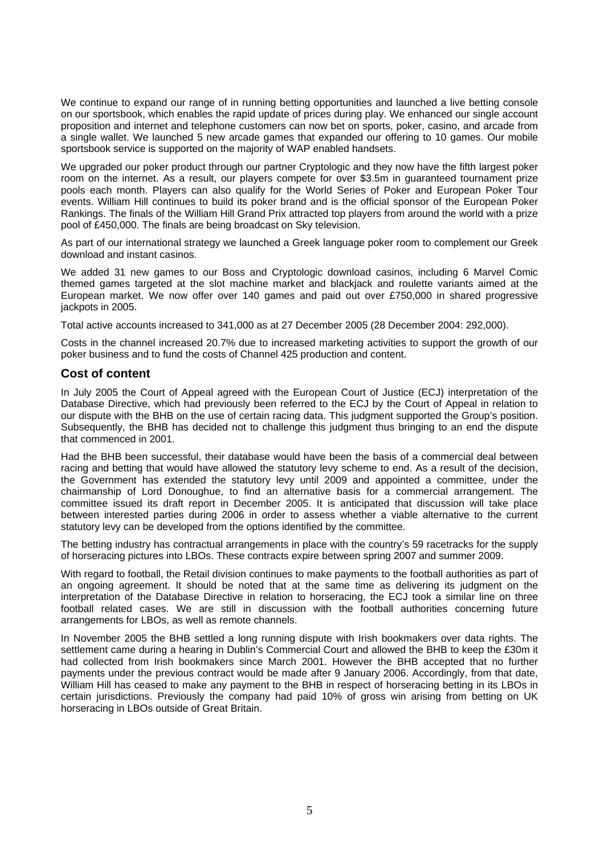We continue to expand our range of in running betting opportunities and launched a live betting console on our sportsbook, which enables the rapid update of prices during play. We enhanced our single account proposition and internet and telephone customers can now bet on sports, poker, casino, and arcade from a single wallet. We launched 5 new arcade games that expanded our offering to 10 games. Our mobile sportsbook service is supported on the majority of WAP enabled handsets.

We upgraded our poker product through our partner Cryptologic and they now have the fifth largest poker room on the internet. As a result, our players compete for over \$3.5m in guaranteed tournament prize pools each month. Players can also qualify for the World Series of Poker and European Poker Tour events. William Hill continues to build its poker brand and is the official sponsor of the European Poker Rankings. The finals of the William Hill Grand Prix attracted top players from around the world with a prize pool of £450,000. The finals are being broadcast on Sky television.

As part of our international strategy we launched a Greek language poker room to complement our Greek download and instant casinos.

We added 31 new games to our Boss and Cryptologic download casinos, including 6 Marvel Comic themed games targeted at the slot machine market and blackjack and roulette variants aimed at the European market. We now offer over 140 games and paid out over £750,000 in shared progressive jackpots in 2005.

Total active accounts increased to 341,000 as at 27 December 2005 (28 December 2004: 292,000).

Costs in the channel increased 20.7% due to increased marketing activities to support the growth of our poker business and to fund the costs of Channel 425 production and content.

#### **Cost of content**

In July 2005 the Court of Appeal agreed with the European Court of Justice (ECJ) interpretation of the Database Directive, which had previously been referred to the ECJ by the Court of Appeal in relation to our dispute with the BHB on the use of certain racing data. This judgment supported the Group's position. Subsequently, the BHB has decided not to challenge this judgment thus bringing to an end the dispute that commenced in 2001.

Had the BHB been successful, their database would have been the basis of a commercial deal between racing and betting that would have allowed the statutory levy scheme to end. As a result of the decision, the Government has extended the statutory levy until 2009 and appointed a committee, under the chairmanship of Lord Donoughue, to find an alternative basis for a commercial arrangement. The committee issued its draft report in December 2005. It is anticipated that discussion will take place between interested parties during 2006 in order to assess whether a viable alternative to the current statutory levy can be developed from the options identified by the committee.

The betting industry has contractual arrangements in place with the country's 59 racetracks for the supply of horseracing pictures into LBOs. These contracts expire between spring 2007 and summer 2009.

With regard to football, the Retail division continues to make payments to the football authorities as part of an ongoing agreement. It should be noted that at the same time as delivering its judgment on the interpretation of the Database Directive in relation to horseracing, the ECJ took a similar line on three football related cases. We are still in discussion with the football authorities concerning future arrangements for LBOs, as well as remote channels.

In November 2005 the BHB settled a long running dispute with Irish bookmakers over data rights. The settlement came during a hearing in Dublin's Commercial Court and allowed the BHB to keep the £30m it had collected from Irish bookmakers since March 2001. However the BHB accepted that no further payments under the previous contract would be made after 9 January 2006. Accordingly, from that date, William Hill has ceased to make any payment to the BHB in respect of horseracing betting in its LBOs in certain jurisdictions. Previously the company had paid 10% of gross win arising from betting on UK horseracing in LBOs outside of Great Britain.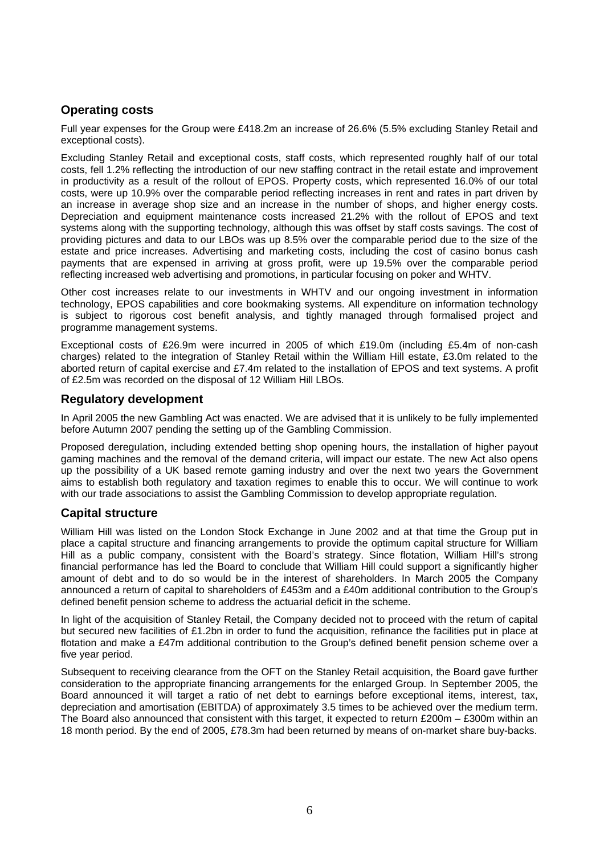# **Operating costs**

Full year expenses for the Group were £418.2m an increase of 26.6% (5.5% excluding Stanley Retail and exceptional costs).

Excluding Stanley Retail and exceptional costs, staff costs, which represented roughly half of our total costs, fell 1.2% reflecting the introduction of our new staffing contract in the retail estate and improvement in productivity as a result of the rollout of EPOS. Property costs, which represented 16.0% of our total costs, were up 10.9% over the comparable period reflecting increases in rent and rates in part driven by an increase in average shop size and an increase in the number of shops, and higher energy costs. Depreciation and equipment maintenance costs increased 21.2% with the rollout of EPOS and text systems along with the supporting technology, although this was offset by staff costs savings. The cost of providing pictures and data to our LBOs was up 8.5% over the comparable period due to the size of the estate and price increases. Advertising and marketing costs, including the cost of casino bonus cash payments that are expensed in arriving at gross profit, were up 19.5% over the comparable period reflecting increased web advertising and promotions, in particular focusing on poker and WHTV.

Other cost increases relate to our investments in WHTV and our ongoing investment in information technology, EPOS capabilities and core bookmaking systems. All expenditure on information technology is subject to rigorous cost benefit analysis, and tightly managed through formalised project and programme management systems.

Exceptional costs of £26.9m were incurred in 2005 of which £19.0m (including £5.4m of non-cash charges) related to the integration of Stanley Retail within the William Hill estate, £3.0m related to the aborted return of capital exercise and £7.4m related to the installation of EPOS and text systems. A profit of £2.5m was recorded on the disposal of 12 William Hill LBOs.

### **Regulatory development**

In April 2005 the new Gambling Act was enacted. We are advised that it is unlikely to be fully implemented before Autumn 2007 pending the setting up of the Gambling Commission.

Proposed deregulation, including extended betting shop opening hours, the installation of higher payout gaming machines and the removal of the demand criteria, will impact our estate. The new Act also opens up the possibility of a UK based remote gaming industry and over the next two years the Government aims to establish both regulatory and taxation regimes to enable this to occur. We will continue to work with our trade associations to assist the Gambling Commission to develop appropriate regulation.

### **Capital structure**

William Hill was listed on the London Stock Exchange in June 2002 and at that time the Group put in place a capital structure and financing arrangements to provide the optimum capital structure for William Hill as a public company, consistent with the Board's strategy. Since flotation, William Hill's strong financial performance has led the Board to conclude that William Hill could support a significantly higher amount of debt and to do so would be in the interest of shareholders. In March 2005 the Company announced a return of capital to shareholders of £453m and a £40m additional contribution to the Group's defined benefit pension scheme to address the actuarial deficit in the scheme.

In light of the acquisition of Stanley Retail, the Company decided not to proceed with the return of capital but secured new facilities of £1.2bn in order to fund the acquisition, refinance the facilities put in place at flotation and make a £47m additional contribution to the Group's defined benefit pension scheme over a five year period.

Subsequent to receiving clearance from the OFT on the Stanley Retail acquisition, the Board gave further consideration to the appropriate financing arrangements for the enlarged Group. In September 2005, the Board announced it will target a ratio of net debt to earnings before exceptional items, interest, tax, depreciation and amortisation (EBITDA) of approximately 3.5 times to be achieved over the medium term. The Board also announced that consistent with this target, it expected to return £200m – £300m within an 18 month period. By the end of 2005, £78.3m had been returned by means of on-market share buy-backs.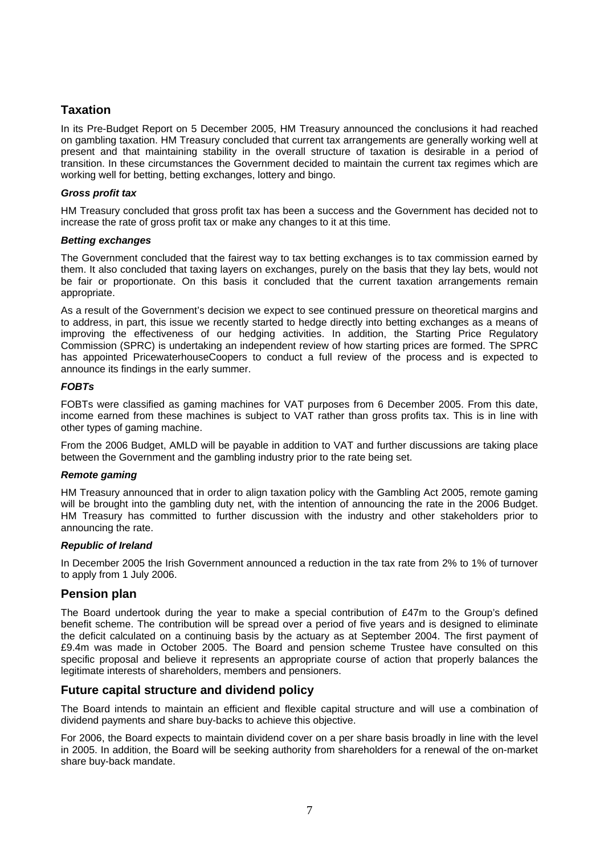# **Taxation**

In its Pre-Budget Report on 5 December 2005, HM Treasury announced the conclusions it had reached on gambling taxation. HM Treasury concluded that current tax arrangements are generally working well at present and that maintaining stability in the overall structure of taxation is desirable in a period of transition. In these circumstances the Government decided to maintain the current tax regimes which are working well for betting, betting exchanges, lottery and bingo.

#### *Gross profit tax*

HM Treasury concluded that gross profit tax has been a success and the Government has decided not to increase the rate of gross profit tax or make any changes to it at this time.

#### *Betting exchanges*

The Government concluded that the fairest way to tax betting exchanges is to tax commission earned by them. It also concluded that taxing layers on exchanges, purely on the basis that they lay bets, would not be fair or proportionate. On this basis it concluded that the current taxation arrangements remain appropriate.

As a result of the Government's decision we expect to see continued pressure on theoretical margins and to address, in part, this issue we recently started to hedge directly into betting exchanges as a means of improving the effectiveness of our hedging activities. In addition, the Starting Price Regulatory Commission (SPRC) is undertaking an independent review of how starting prices are formed. The SPRC has appointed PricewaterhouseCoopers to conduct a full review of the process and is expected to announce its findings in the early summer.

#### *FOBTs*

FOBTs were classified as gaming machines for VAT purposes from 6 December 2005. From this date, income earned from these machines is subject to VAT rather than gross profits tax. This is in line with other types of gaming machine.

From the 2006 Budget, AMLD will be payable in addition to VAT and further discussions are taking place between the Government and the gambling industry prior to the rate being set.

#### *Remote gaming*

HM Treasury announced that in order to align taxation policy with the Gambling Act 2005, remote gaming will be brought into the gambling duty net, with the intention of announcing the rate in the 2006 Budget. HM Treasury has committed to further discussion with the industry and other stakeholders prior to announcing the rate.

#### *Republic of Ireland*

In December 2005 the Irish Government announced a reduction in the tax rate from 2% to 1% of turnover to apply from 1 July 2006.

### **Pension plan**

The Board undertook during the year to make a special contribution of £47m to the Group's defined benefit scheme. The contribution will be spread over a period of five years and is designed to eliminate the deficit calculated on a continuing basis by the actuary as at September 2004. The first payment of £9.4m was made in October 2005. The Board and pension scheme Trustee have consulted on this specific proposal and believe it represents an appropriate course of action that properly balances the legitimate interests of shareholders, members and pensioners.

### **Future capital structure and dividend policy**

The Board intends to maintain an efficient and flexible capital structure and will use a combination of dividend payments and share buy-backs to achieve this objective.

For 2006, the Board expects to maintain dividend cover on a per share basis broadly in line with the level in 2005. In addition, the Board will be seeking authority from shareholders for a renewal of the on-market share buy-back mandate.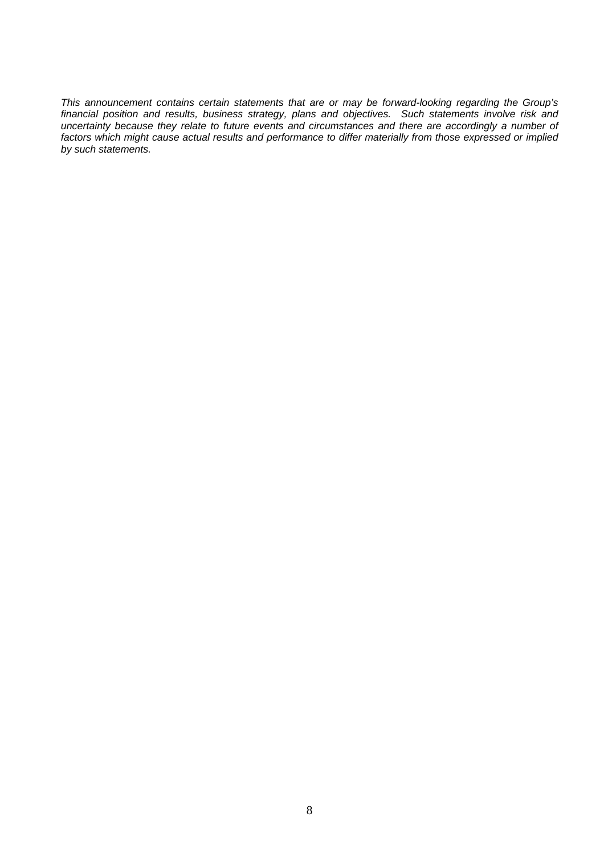*This announcement contains certain statements that are or may be forward-looking regarding the Group's financial position and results, business strategy, plans and objectives. Such statements involve risk and uncertainty because they relate to future events and circumstances and there are accordingly a number of factors which might cause actual results and performance to differ materially from those expressed or implied by such statements.*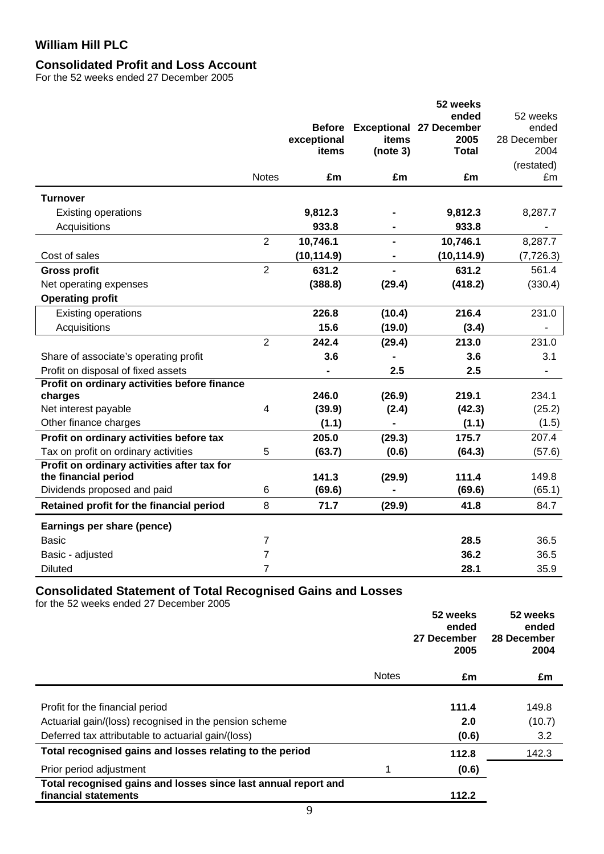# **Consolidated Profit and Loss Account**

For the 52 weeks ended 27 December 2005

|                                              |                |               |                | 52 weeks                       |                          |
|----------------------------------------------|----------------|---------------|----------------|--------------------------------|--------------------------|
|                                              |                |               |                | ended                          | 52 weeks                 |
|                                              |                | <b>Before</b> |                | <b>Exceptional 27 December</b> | ended                    |
|                                              |                | exceptional   | items          | 2005                           | 28 December              |
|                                              |                | items         | (note 3)       | <b>Total</b>                   | 2004                     |
|                                              |                |               |                |                                | (restated)               |
|                                              | <b>Notes</b>   | £m            | £m             | £m                             | £m                       |
| <b>Turnover</b>                              |                |               |                |                                |                          |
| <b>Existing operations</b>                   |                | 9,812.3       |                | 9,812.3                        | 8,287.7                  |
| Acquisitions                                 |                | 933.8         |                | 933.8                          |                          |
|                                              | $\overline{2}$ | 10,746.1      | $\blacksquare$ | 10,746.1                       | 8,287.7                  |
| Cost of sales                                |                | (10, 114.9)   |                | (10, 114.9)                    | (7, 726.3)               |
| <b>Gross profit</b>                          | $\overline{2}$ | 631.2         |                | 631.2                          | 561.4                    |
| Net operating expenses                       |                | (388.8)       | (29.4)         | (418.2)                        | (330.4)                  |
| <b>Operating profit</b>                      |                |               |                |                                |                          |
| Existing operations                          |                | 226.8         | (10.4)         | 216.4                          | 231.0                    |
| Acquisitions                                 |                | 15.6          | (19.0)         | (3.4)                          | -                        |
|                                              | $\overline{2}$ | 242.4         | (29.4)         | 213.0                          | 231.0                    |
| Share of associate's operating profit        |                | 3.6           |                | 3.6                            | 3.1                      |
| Profit on disposal of fixed assets           |                |               | 2.5            | 2.5                            | $\overline{\phantom{a}}$ |
| Profit on ordinary activities before finance |                |               |                |                                |                          |
| charges                                      |                | 246.0         | (26.9)         | 219.1                          | 234.1                    |
| Net interest payable                         | 4              | (39.9)        | (2.4)          | (42.3)                         | (25.2)                   |
| Other finance charges                        |                | (1.1)         |                | (1.1)                          | (1.5)                    |
| Profit on ordinary activities before tax     |                | 205.0         | (29.3)         | 175.7                          | 207.4                    |
| Tax on profit on ordinary activities         | 5              | (63.7)        | (0.6)          | (64.3)                         | (57.6)                   |
| Profit on ordinary activities after tax for  |                |               |                |                                |                          |
| the financial period                         |                | 141.3         | (29.9)         | 111.4                          | 149.8                    |
| Dividends proposed and paid                  | 6              | (69.6)        |                | (69.6)                         | (65.1)                   |
| Retained profit for the financial period     | 8              | 71.7          | (29.9)         | 41.8                           | 84.7                     |
| Earnings per share (pence)                   |                |               |                |                                |                          |
| <b>Basic</b>                                 | 7              |               |                | 28.5                           | 36.5                     |
| Basic - adjusted                             | $\overline{7}$ |               |                | 36.2                           | 36.5                     |
| <b>Diluted</b>                               | 7              |               |                | 28.1                           | 35.9                     |

### **Consolidated Statement of Total Recognised Gains and Losses**

for the 52 weeks ended 27 December 2005

|                                                                |              | 52 weeks<br>ended<br>27 December<br>2005 | 52 weeks<br>ended<br>28 December<br>2004 |
|----------------------------------------------------------------|--------------|------------------------------------------|------------------------------------------|
|                                                                | <b>Notes</b> | £m                                       | £m                                       |
|                                                                |              |                                          |                                          |
| Profit for the financial period                                |              | 111.4                                    | 149.8                                    |
| Actuarial gain/(loss) recognised in the pension scheme         |              | 2.0                                      | (10.7)                                   |
| Deferred tax attributable to actuarial gain/(loss)             |              | (0.6)                                    | 3.2                                      |
| Total recognised gains and losses relating to the period       |              | 112.8                                    | 142.3                                    |
| Prior period adjustment                                        | 4            | (0.6)                                    |                                          |
| Total recognised gains and losses since last annual report and |              |                                          |                                          |
| financial statements                                           |              | 112.2                                    |                                          |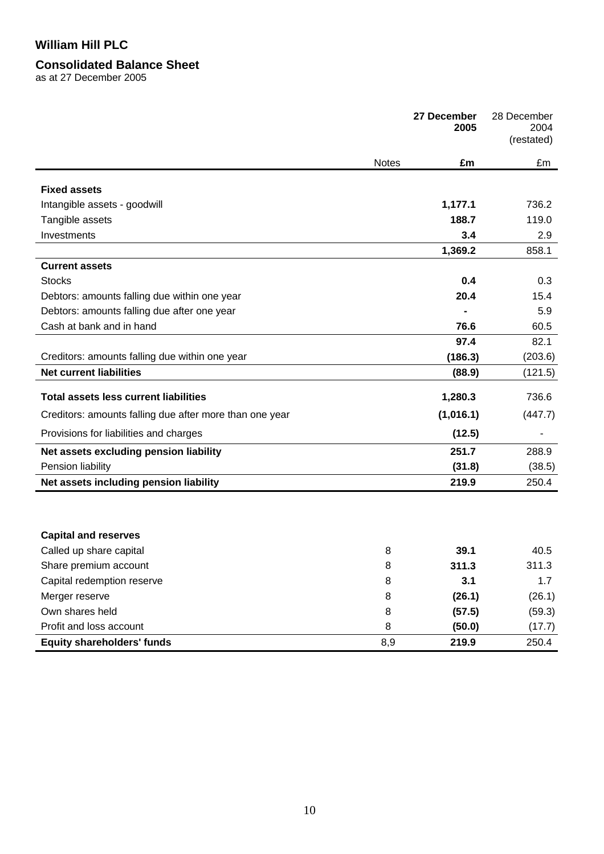## **Consolidated Balance Sheet**

as at 27 December 2005

|                                                         |              | 27 December<br>2005 | 28 December<br>2004<br>(restated) |
|---------------------------------------------------------|--------------|---------------------|-----------------------------------|
|                                                         | <b>Notes</b> | £m                  | £m                                |
| <b>Fixed assets</b>                                     |              |                     |                                   |
| Intangible assets - goodwill                            |              | 1,177.1             | 736.2                             |
| Tangible assets                                         |              | 188.7               | 119.0                             |
| Investments                                             |              | 3.4                 | 2.9                               |
|                                                         |              | 1,369.2             | 858.1                             |
| <b>Current assets</b>                                   |              |                     |                                   |
| <b>Stocks</b>                                           |              | 0.4                 | 0.3                               |
| Debtors: amounts falling due within one year            |              | 20.4                | 15.4                              |
| Debtors: amounts falling due after one year             |              |                     | 5.9                               |
| Cash at bank and in hand                                |              | 76.6                | 60.5                              |
|                                                         |              | 97.4                | 82.1                              |
| Creditors: amounts falling due within one year          |              | (186.3)             | (203.6)                           |
| <b>Net current liabilities</b>                          |              | (88.9)              | (121.5)                           |
|                                                         |              |                     |                                   |
| <b>Total assets less current liabilities</b>            |              | 1,280.3             | 736.6                             |
| Creditors: amounts falling due after more than one year |              | (1,016.1)           | (447.7)                           |
| Provisions for liabilities and charges                  |              | (12.5)              |                                   |
| Net assets excluding pension liability                  |              | 251.7               | 288.9                             |
| Pension liability                                       |              | (31.8)              | (38.5)                            |
| Net assets including pension liability                  |              | 219.9               | 250.4                             |
|                                                         |              |                     |                                   |
| <b>Capital and reserves</b>                             |              |                     |                                   |
| Called up share capital                                 | 8            | 39.1                | 40.5                              |
| Share premium account                                   | 8            | 311.3               | 311.3                             |
| Capital redemption reserve                              | 8            | 3.1                 | 1.7                               |
| Merger reserve                                          | 8            | (26.1)              | (26.1)                            |
| Own shares held                                         | 8            | (57.5)              | (59.3)                            |
| Profit and loss account                                 | 8            | (50.0)              | (17.7)                            |
| <b>Equity shareholders' funds</b>                       | 8,9          | 219.9               | 250.4                             |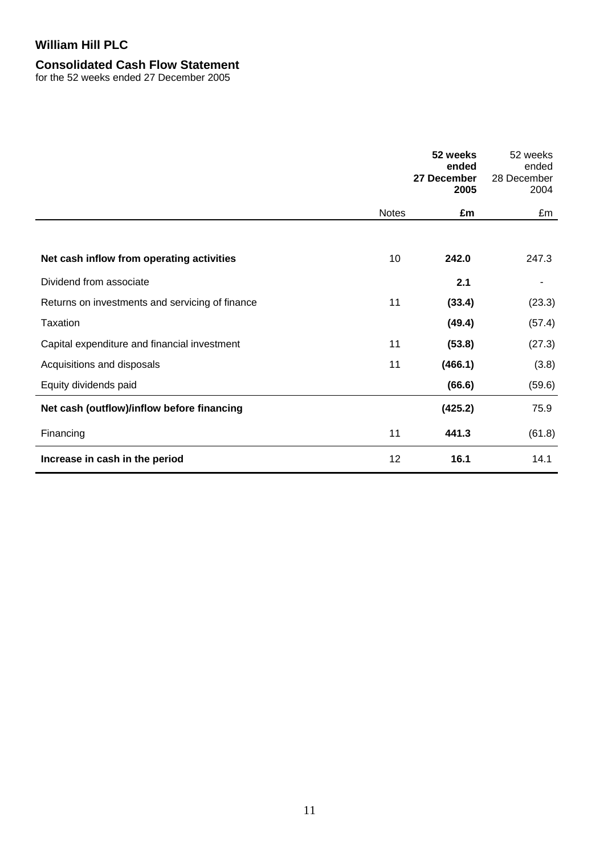# **Consolidated Cash Flow Statement**

for the 52 weeks ended 27 December 2005

|                                                 |              | 52 weeks<br>ended<br>27 December<br>2005 | 52 weeks<br>ended<br>28 December<br>2004 |
|-------------------------------------------------|--------------|------------------------------------------|------------------------------------------|
|                                                 | <b>Notes</b> | £m                                       | £m                                       |
|                                                 |              |                                          |                                          |
| Net cash inflow from operating activities       | 10           | 242.0                                    | 247.3                                    |
| Dividend from associate                         |              | 2.1                                      |                                          |
| Returns on investments and servicing of finance | 11           | (33.4)                                   | (23.3)                                   |
| Taxation                                        |              | (49.4)                                   | (57.4)                                   |
| Capital expenditure and financial investment    | 11           | (53.8)                                   | (27.3)                                   |
| Acquisitions and disposals                      | 11           | (466.1)                                  | (3.8)                                    |
| Equity dividends paid                           |              | (66.6)                                   | (59.6)                                   |
| Net cash (outflow)/inflow before financing      |              | (425.2)                                  | 75.9                                     |
| Financing                                       | 11           | 441.3                                    | (61.8)                                   |
| Increase in cash in the period                  | 12           | 16.1                                     | 14.1                                     |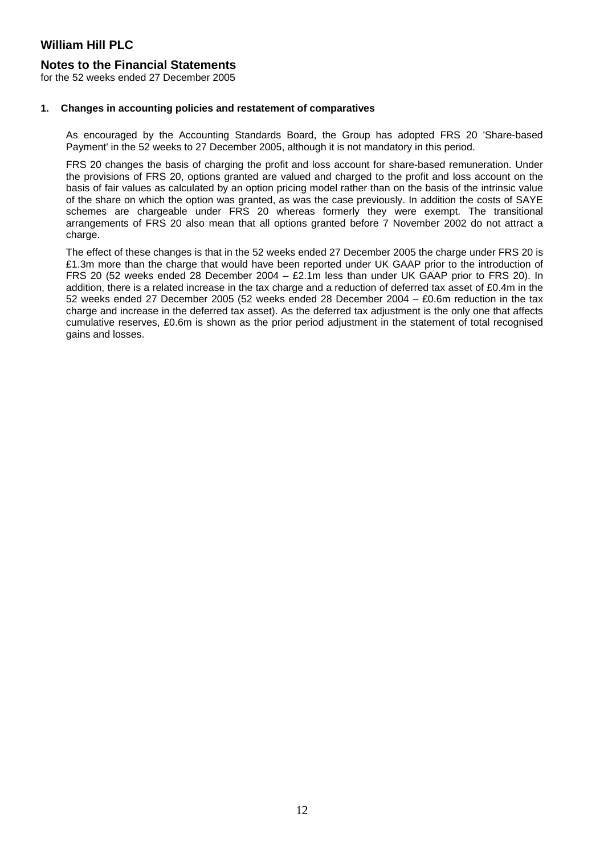### **Notes to the Financial Statements**

for the 52 weeks ended 27 December 2005

#### **1. Changes in accounting policies and restatement of comparatives**

As encouraged by the Accounting Standards Board, the Group has adopted FRS 20 'Share-based Payment' in the 52 weeks to 27 December 2005, although it is not mandatory in this period.

FRS 20 changes the basis of charging the profit and loss account for share-based remuneration. Under the provisions of FRS 20, options granted are valued and charged to the profit and loss account on the basis of fair values as calculated by an option pricing model rather than on the basis of the intrinsic value of the share on which the option was granted, as was the case previously. In addition the costs of SAYE schemes are chargeable under FRS 20 whereas formerly they were exempt. The transitional arrangements of FRS 20 also mean that all options granted before 7 November 2002 do not attract a charge.

The effect of these changes is that in the 52 weeks ended 27 December 2005 the charge under FRS 20 is £1.3m more than the charge that would have been reported under UK GAAP prior to the introduction of FRS 20 (52 weeks ended 28 December 2004 – £2.1m less than under UK GAAP prior to FRS 20). In addition, there is a related increase in the tax charge and a reduction of deferred tax asset of £0.4m in the 52 weeks ended 27 December 2005 (52 weeks ended 28 December 2004 – £0.6m reduction in the tax charge and increase in the deferred tax asset). As the deferred tax adjustment is the only one that affects cumulative reserves, £0.6m is shown as the prior period adjustment in the statement of total recognised gains and losses.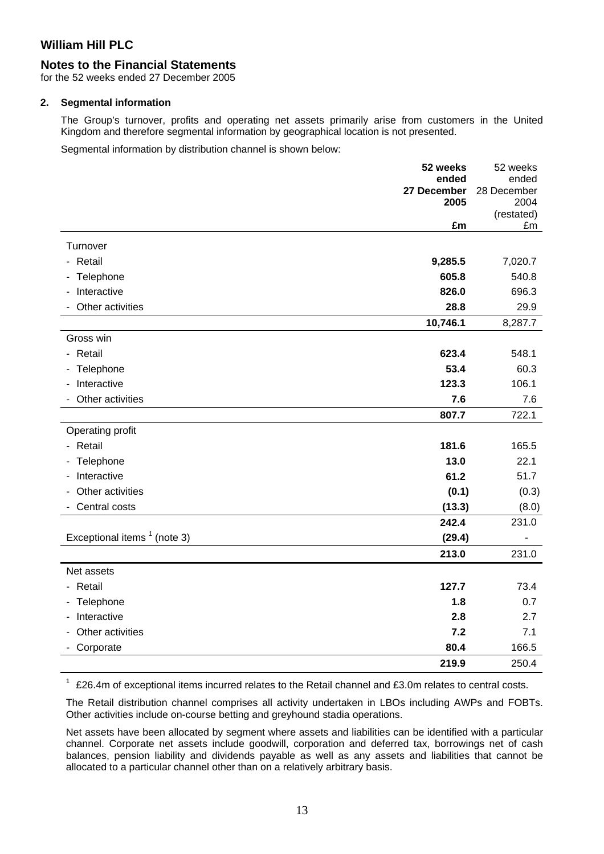## **Notes to the Financial Statements**

for the 52 weeks ended 27 December 2005

#### **2. Segmental information**

The Group's turnover, profits and operating net assets primarily arise from customers in the United Kingdom and therefore segmental information by geographical location is not presented.

Segmental information by distribution channel is shown below:

|                                | 52 weeks    | 52 weeks         |
|--------------------------------|-------------|------------------|
|                                | ended       | ended            |
|                                | 27 December | 28 December      |
|                                | 2005        | 2004             |
|                                | £m          | (restated)<br>£m |
|                                |             |                  |
| Turnover                       |             |                  |
| - Retail                       | 9,285.5     | 7,020.7          |
| Telephone<br>٠                 | 605.8       | 540.8            |
| Interactive                    | 826.0       | 696.3            |
| Other activities               | 28.8        | 29.9             |
|                                | 10,746.1    | 8,287.7          |
| Gross win                      |             |                  |
| - Retail                       | 623.4       | 548.1            |
| - Telephone                    | 53.4        | 60.3             |
| Interactive                    | 123.3       | 106.1            |
| Other activities               | 7.6         | 7.6              |
|                                | 807.7       | 722.1            |
| Operating profit               |             |                  |
| - Retail                       | 181.6       | 165.5            |
| - Telephone                    | 13.0        | 22.1             |
| Interactive<br>$\sim$          | 61.2        | 51.7             |
| Other activities               | (0.1)       | (0.3)            |
| Central costs                  | (13.3)      | (8.0)            |
|                                | 242.4       | 231.0            |
| Exceptional items $1$ (note 3) | (29.4)      |                  |
|                                | 213.0       | 231.0            |
| Net assets                     |             |                  |
| - Retail                       | 127.7       | 73.4             |
| Telephone                      | 1.8         | 0.7              |
| Interactive                    | 2.8         | 2.7              |
| Other activities               | 7.2         | 7.1              |
| Corporate                      | 80.4        | 166.5            |
|                                | 219.9       | 250.4            |

 $1$  £26.4m of exceptional items incurred relates to the Retail channel and £3.0m relates to central costs.

The Retail distribution channel comprises all activity undertaken in LBOs including AWPs and FOBTs. Other activities include on-course betting and greyhound stadia operations.

Net assets have been allocated by segment where assets and liabilities can be identified with a particular channel. Corporate net assets include goodwill, corporation and deferred tax, borrowings net of cash balances, pension liability and dividends payable as well as any assets and liabilities that cannot be allocated to a particular channel other than on a relatively arbitrary basis.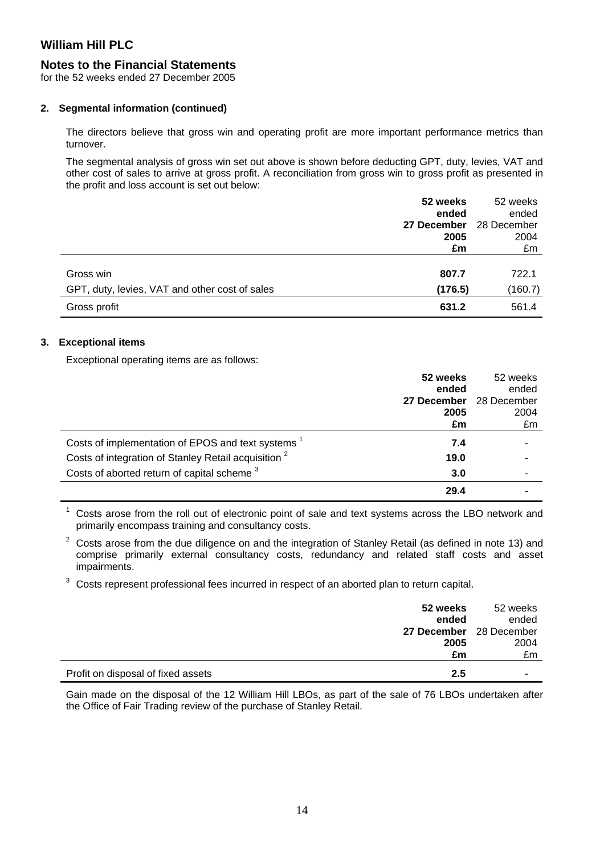## **Notes to the Financial Statements**

for the 52 weeks ended 27 December 2005

#### **2. Segmental information (continued)**

The directors believe that gross win and operating profit are more important performance metrics than turnover.

The segmental analysis of gross win set out above is shown before deducting GPT, duty, levies, VAT and other cost of sales to arrive at gross profit. A reconciliation from gross win to gross profit as presented in the profit and loss account is set out below:

|                                                | 52 weeks    | 52 weeks    |
|------------------------------------------------|-------------|-------------|
|                                                | ended       | ended       |
|                                                | 27 December | 28 December |
|                                                | 2005        | 2004        |
|                                                | £m          | £m          |
|                                                |             |             |
| Gross win                                      | 807.7       | 722.1       |
| GPT, duty, levies, VAT and other cost of sales | (176.5)     | (160.7)     |
| Gross profit                                   | 631.2       | 561.4       |

### **3. Exceptional items**

Exceptional operating items are as follows:

|                                                                 | 52 weeks    | 52 weeks    |
|-----------------------------------------------------------------|-------------|-------------|
|                                                                 | ended       | ended       |
|                                                                 | 27 December | 28 December |
|                                                                 | 2005        | 2004        |
|                                                                 | £m          | £m          |
| Costs of implementation of EPOS and text systems                | 7.4         |             |
| Costs of integration of Stanley Retail acquisition <sup>2</sup> | 19.0        |             |
| Costs of aborted return of capital scheme <sup>3</sup>          | 3.0         |             |
|                                                                 | 29.4        |             |

1 Costs arose from the roll out of electronic point of sale and text systems across the LBO network and primarily encompass training and consultancy costs.

2 Costs arose from the due diligence on and the integration of Stanley Retail (as defined in note 13) and comprise primarily external consultancy costs, redundancy and related staff costs and asset impairments.

3 Costs represent professional fees incurred in respect of an aborted plan to return capital.

|                                    | 52 weeks<br>ended       | 52 weeks<br>ended |
|------------------------------------|-------------------------|-------------------|
|                                    | 27 December 28 December |                   |
|                                    | 2005                    | 2004              |
|                                    | £m                      | £m                |
| Profit on disposal of fixed assets | 2.5                     |                   |

Gain made on the disposal of the 12 William Hill LBOs, as part of the sale of 76 LBOs undertaken after the Office of Fair Trading review of the purchase of Stanley Retail.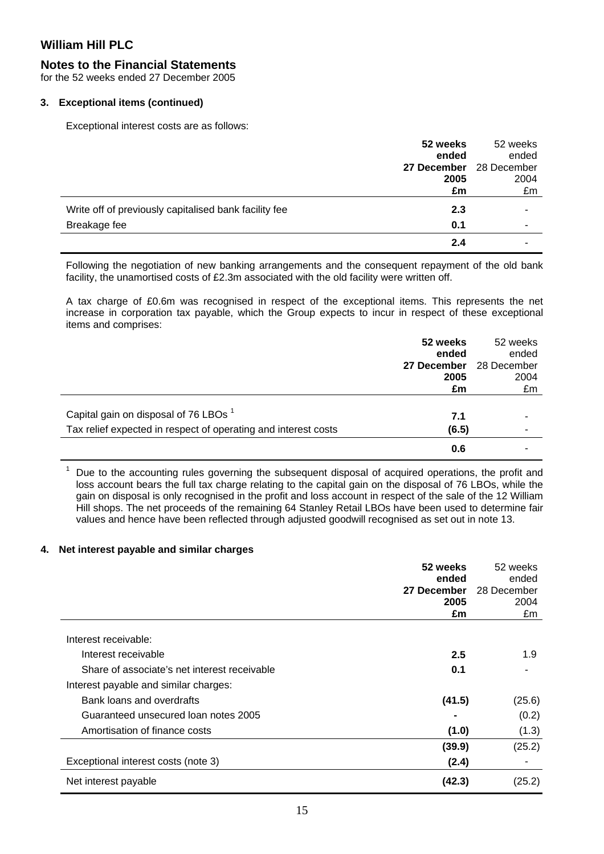### **Notes to the Financial Statements**

for the 52 weeks ended 27 December 2005

#### **3. Exceptional items (continued)**

Exceptional interest costs are as follows:

|                                                       | 52 weeks    | 52 weeks    |
|-------------------------------------------------------|-------------|-------------|
|                                                       | ended       | ended       |
|                                                       | 27 December | 28 December |
|                                                       | 2005        | 2004        |
|                                                       | £m          | £m          |
| Write off of previously capitalised bank facility fee | 2.3         |             |
| Breakage fee                                          | 0.1         |             |
|                                                       | 2.4         |             |

Following the negotiation of new banking arrangements and the consequent repayment of the old bank facility, the unamortised costs of £2.3m associated with the old facility were written off.

A tax charge of £0.6m was recognised in respect of the exceptional items. This represents the net increase in corporation tax payable, which the Group expects to incur in respect of these exceptional items and comprises:

|                                                                | 52 weeks    | 52 weeks    |
|----------------------------------------------------------------|-------------|-------------|
|                                                                | ended       | ended       |
|                                                                | 27 December | 28 December |
|                                                                | 2005        | 2004        |
|                                                                | £m          | £m          |
|                                                                |             |             |
| Capital gain on disposal of 76 LBOs <sup>1</sup>               | 7.1         |             |
| Tax relief expected in respect of operating and interest costs | (6.5)       |             |
|                                                                | 0.6         |             |

 $1$  Due to the accounting rules governing the subsequent disposal of acquired operations, the profit and loss account bears the full tax charge relating to the capital gain on the disposal of 76 LBOs, while the gain on disposal is only recognised in the profit and loss account in respect of the sale of the 12 William Hill shops. The net proceeds of the remaining 64 Stanley Retail LBOs have been used to determine fair values and hence have been reflected through adjusted goodwill recognised as set out in note 13.

#### **4. Net interest payable and similar charges**

|                                              | 52 weeks    | 52 weeks    |
|----------------------------------------------|-------------|-------------|
|                                              | ended       | ended       |
|                                              | 27 December | 28 December |
|                                              | 2005        | 2004        |
|                                              | £m          | £m          |
| Interest receivable:                         |             |             |
| Interest receivable                          | 2.5         | 1.9         |
| Share of associate's net interest receivable | 0.1         |             |
| Interest payable and similar charges:        |             |             |
| Bank loans and overdrafts                    | (41.5)      | (25.6)      |
| Guaranteed unsecured loan notes 2005         |             | (0.2)       |
| Amortisation of finance costs                | (1.0)       | (1.3)       |
|                                              | (39.9)      | (25.2)      |
| Exceptional interest costs (note 3)          | (2.4)       |             |
| Net interest payable                         | (42.3)      | (25.2)      |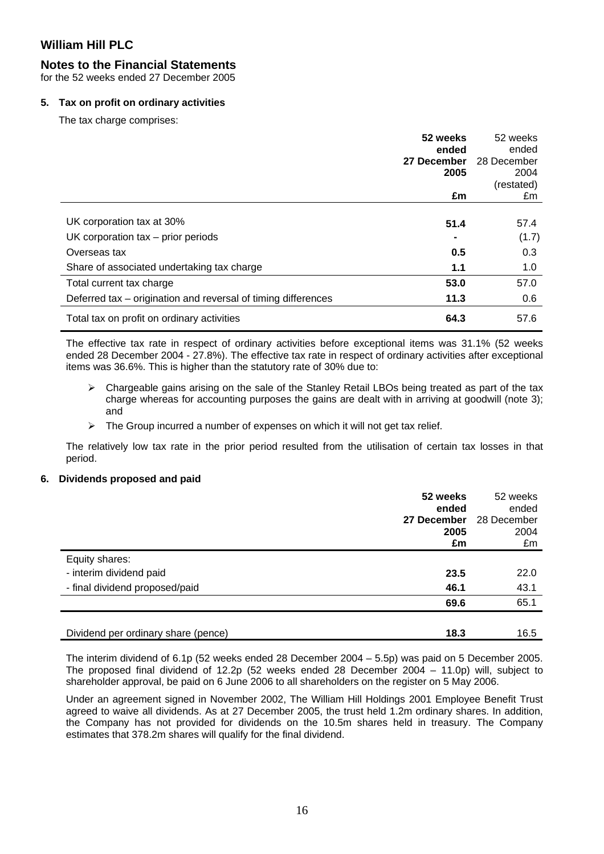### **Notes to the Financial Statements**

for the 52 weeks ended 27 December 2005

#### **5. Tax on profit on ordinary activities**

The tax charge comprises:

|                                                               | 52 weeks<br>ended<br>27 December<br>2005 | 52 weeks<br>ended<br>28 December<br>2004<br>(restated) |
|---------------------------------------------------------------|------------------------------------------|--------------------------------------------------------|
|                                                               | £m                                       | £m                                                     |
|                                                               |                                          |                                                        |
| UK corporation tax at 30%                                     | 51.4                                     | 57.4                                                   |
| UK corporation $tax - prior$ periods                          |                                          | (1.7)                                                  |
| Overseas tax                                                  | 0.5                                      | 0.3                                                    |
| Share of associated undertaking tax charge                    | 1.1                                      | 1.0                                                    |
| Total current tax charge                                      | 53.0                                     | 57.0                                                   |
| Deferred tax – origination and reversal of timing differences | 11.3                                     | 0.6                                                    |
| Total tax on profit on ordinary activities                    | 64.3                                     | 57.6                                                   |

The effective tax rate in respect of ordinary activities before exceptional items was 31.1% (52 weeks ended 28 December 2004 - 27.8%). The effective tax rate in respect of ordinary activities after exceptional items was 36.6%. This is higher than the statutory rate of 30% due to:

- $\triangleright$  Chargeable gains arising on the sale of the Stanley Retail LBOs being treated as part of the tax charge whereas for accounting purposes the gains are dealt with in arriving at goodwill (note 3); and
- $\triangleright$  The Group incurred a number of expenses on which it will not get tax relief.

The relatively low tax rate in the prior period resulted from the utilisation of certain tax losses in that period.

#### **6. Dividends proposed and paid**

|                                     | 52 weeks<br>ended<br>27 December<br>2005 | 52 weeks<br>ended<br>28 December<br>2004 |
|-------------------------------------|------------------------------------------|------------------------------------------|
|                                     | £m                                       | £m                                       |
| Equity shares:                      |                                          |                                          |
| - interim dividend paid             | 23.5                                     | 22.0                                     |
| - final dividend proposed/paid      | 46.1                                     | 43.1                                     |
|                                     | 69.6                                     | 65.1                                     |
|                                     |                                          |                                          |
| Dividend per ordinary share (pence) | 18.3                                     | 16.5                                     |

The interim dividend of 6.1p (52 weeks ended 28 December 2004 – 5.5p) was paid on 5 December 2005. The proposed final dividend of 12.2p (52 weeks ended 28 December 2004 – 11.0p) will, subject to shareholder approval, be paid on 6 June 2006 to all shareholders on the register on 5 May 2006.

Under an agreement signed in November 2002, The William Hill Holdings 2001 Employee Benefit Trust agreed to waive all dividends. As at 27 December 2005, the trust held 1.2m ordinary shares. In addition, the Company has not provided for dividends on the 10.5m shares held in treasury. The Company estimates that 378.2m shares will qualify for the final dividend.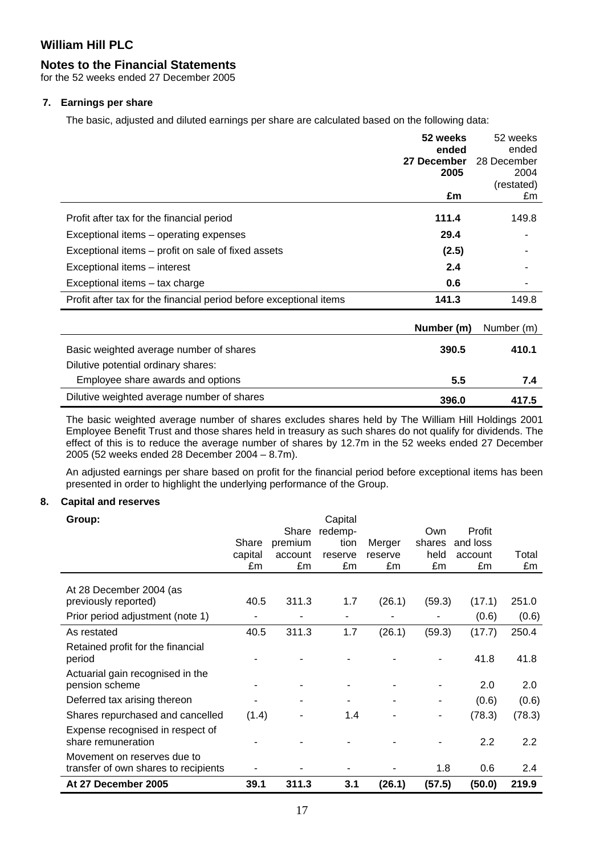# **Notes to the Financial Statements**

for the 52 weeks ended 27 December 2005

# **7. Earnings per share**

The basic, adjusted and diluted earnings per share are calculated based on the following data:

|                                                                    | 52 weeks    | 52 weeks         |
|--------------------------------------------------------------------|-------------|------------------|
|                                                                    | ended       | ended            |
|                                                                    | 27 December | 28 December      |
|                                                                    | 2005        | 2004             |
|                                                                    | £m          | (restated)<br>£m |
|                                                                    |             |                  |
| Profit after tax for the financial period                          | 111.4       | 149.8            |
| Exceptional items – operating expenses                             | 29.4        |                  |
| Exceptional items – profit on sale of fixed assets                 | (2.5)       |                  |
| Exceptional items - interest                                       | 2.4         |                  |
| Exceptional items - tax charge                                     | 0.6         |                  |
| Profit after tax for the financial period before exceptional items | 141.3       | 149.8            |
|                                                                    |             |                  |
|                                                                    | Number (m)  | Number (m)       |
| Basic weighted average number of shares                            | 390.5       | 410.1            |
| Dilutive potential ordinary shares:                                |             |                  |
| Employee share awards and options                                  | 5.5         | 7.4              |
| Dilutive weighted average number of shares                         | 396.0       | 417.5            |

The basic weighted average number of shares excludes shares held by The William Hill Holdings 2001 Employee Benefit Trust and those shares held in treasury as such shares do not qualify for dividends. The effect of this is to reduce the average number of shares by 12.7m in the 52 weeks ended 27 December 2005 (52 weeks ended 28 December 2004 – 8.7m).

An adjusted earnings per share based on profit for the financial period before exceptional items has been presented in order to highlight the underlying performance of the Group.

# **8. Capital and reserves**

| Group:                                                              | Share<br>capital<br>£m | Share<br>premium<br>account<br>£m | Capital<br>redemp-<br>tion<br>reserve<br>£m | Merger<br>reserve<br>£m | <b>Own</b><br>shares<br>held<br>£m | Profit<br>and loss<br>account<br>£m | Total<br>£m |
|---------------------------------------------------------------------|------------------------|-----------------------------------|---------------------------------------------|-------------------------|------------------------------------|-------------------------------------|-------------|
| At 28 December 2004 (as<br>previously reported)                     | 40.5                   | 311.3                             | 1.7                                         | (26.1)                  | (59.3)                             | (17.1)                              | 251.0       |
| Prior period adjustment (note 1)                                    |                        |                                   |                                             |                         |                                    | (0.6)                               | (0.6)       |
| As restated                                                         | 40.5                   | 311.3                             | 1.7                                         | (26.1)                  | (59.3)                             | (17.7)                              | 250.4       |
| Retained profit for the financial<br>period                         |                        |                                   |                                             |                         |                                    | 41.8                                | 41.8        |
| Actuarial gain recognised in the<br>pension scheme                  |                        |                                   |                                             |                         |                                    | 2.0                                 | 2.0         |
| Deferred tax arising thereon                                        | ۰                      | ۰                                 |                                             | ٠                       |                                    | (0.6)                               | (0.6)       |
| Shares repurchased and cancelled                                    | (1.4)                  |                                   | 1.4                                         |                         |                                    | (78.3)                              | (78.3)      |
| Expense recognised in respect of<br>share remuneration              |                        |                                   |                                             |                         |                                    | 2.2                                 | 2.2         |
| Movement on reserves due to<br>transfer of own shares to recipients |                        |                                   |                                             |                         | 1.8                                | 0.6                                 | 2.4         |
| At 27 December 2005                                                 | 39.1                   | 311.3                             | 3.1                                         | (26.1)                  | (57.5)                             | (50.0)                              | 219.9       |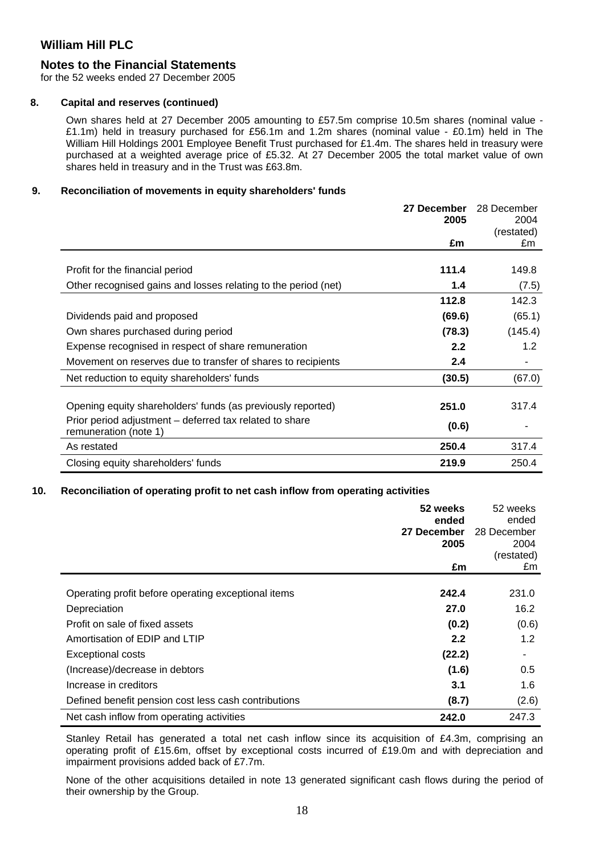### **Notes to the Financial Statements**

for the 52 weeks ended 27 December 2005

#### **8. Capital and reserves (continued)**

Own shares held at 27 December 2005 amounting to £57.5m comprise 10.5m shares (nominal value - £1.1m) held in treasury purchased for £56.1m and 1.2m shares (nominal value - £0.1m) held in The William Hill Holdings 2001 Employee Benefit Trust purchased for £1.4m. The shares held in treasury were purchased at a weighted average price of £5.32. At 27 December 2005 the total market value of own shares held in treasury and in the Trust was £63.8m.

#### **9. Reconciliation of movements in equity shareholders' funds**

|                                                                                  | 27 December | 28 December |
|----------------------------------------------------------------------------------|-------------|-------------|
|                                                                                  | 2005        | 2004        |
|                                                                                  |             | (restated)  |
|                                                                                  | £m          | £m          |
|                                                                                  |             |             |
| Profit for the financial period                                                  | 111.4       | 149.8       |
| Other recognised gains and losses relating to the period (net)                   | 1.4         | (7.5)       |
|                                                                                  | 112.8       | 142.3       |
| Dividends paid and proposed                                                      | (69.6)      | (65.1)      |
| Own shares purchased during period                                               | (78.3)      | (145.4)     |
| Expense recognised in respect of share remuneration                              | 2.2         | 1.2         |
| Movement on reserves due to transfer of shares to recipients                     | 2.4         |             |
| Net reduction to equity shareholders' funds                                      | (30.5)      | (67.0)      |
|                                                                                  |             |             |
| Opening equity shareholders' funds (as previously reported)                      | 251.0       | 317.4       |
| Prior period adjustment – deferred tax related to share<br>remuneration (note 1) | (0.6)       |             |
| As restated                                                                      | 250.4       | 317.4       |
| Closing equity shareholders' funds                                               | 219.9       | 250.4       |

#### **10. Reconciliation of operating profit to net cash inflow from operating activities**

|                                                      | 52 weeks<br>ended<br>27 December<br>2005 | 52 weeks<br>ended<br>28 December<br>2004<br>(restated) |
|------------------------------------------------------|------------------------------------------|--------------------------------------------------------|
|                                                      | £m                                       | £m                                                     |
| Operating profit before operating exceptional items  | 242.4                                    | 231.0                                                  |
| Depreciation                                         | 27.0                                     | 16.2                                                   |
| Profit on sale of fixed assets                       | (0.2)                                    | (0.6)                                                  |
| Amortisation of EDIP and LTIP                        | 2.2                                      | 1.2                                                    |
| <b>Exceptional costs</b>                             | (22.2)                                   |                                                        |
| (Increase)/decrease in debtors                       | (1.6)                                    | 0.5                                                    |
| Increase in creditors                                | 3.1                                      | 1.6                                                    |
| Defined benefit pension cost less cash contributions | (8.7)                                    | (2.6)                                                  |
| Net cash inflow from operating activities            | 242.0                                    | 247.3                                                  |

Stanley Retail has generated a total net cash inflow since its acquisition of £4.3m, comprising an operating profit of £15.6m, offset by exceptional costs incurred of £19.0m and with depreciation and impairment provisions added back of £7.7m.

None of the other acquisitions detailed in note 13 generated significant cash flows during the period of their ownership by the Group.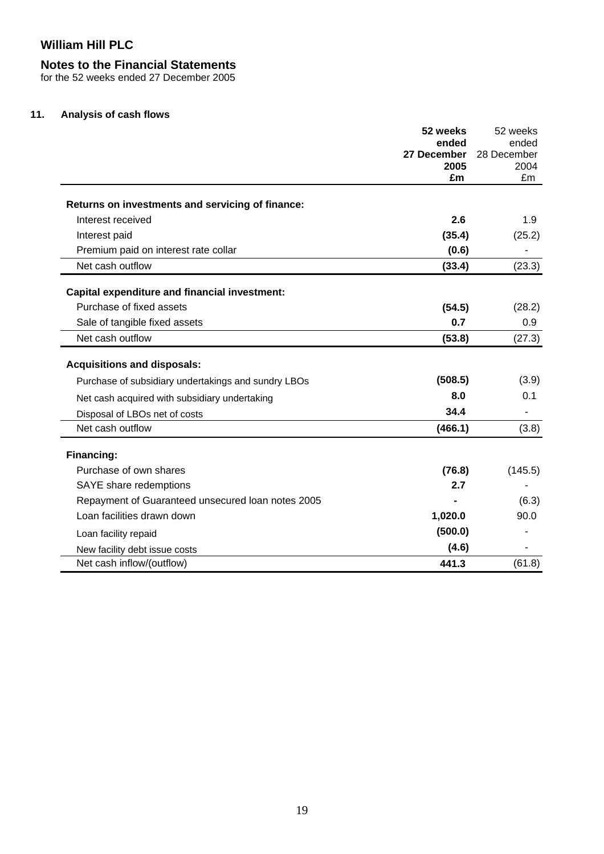# **Notes to the Financial Statements**

for the 52 weeks ended 27 December 2005

### **11. Analysis of cash flows**

|                                                      | 52 weeks            | 52 weeks             |
|------------------------------------------------------|---------------------|----------------------|
|                                                      | ended               | ended<br>28 December |
|                                                      | 27 December<br>2005 | 2004                 |
|                                                      | £m                  | £m                   |
| Returns on investments and servicing of finance:     |                     |                      |
| Interest received                                    | 2.6                 | 1.9                  |
| Interest paid                                        | (35.4)              | (25.2)               |
| Premium paid on interest rate collar                 | (0.6)               |                      |
| Net cash outflow                                     | (33.4)              | (23.3)               |
| <b>Capital expenditure and financial investment:</b> |                     |                      |
| Purchase of fixed assets                             | (54.5)              | (28.2)               |
| Sale of tangible fixed assets                        | 0.7                 | 0.9                  |
| Net cash outflow                                     | (53.8)              | (27.3)               |
| <b>Acquisitions and disposals:</b>                   |                     |                      |
| Purchase of subsidiary undertakings and sundry LBOs  | (508.5)             | (3.9)                |
| Net cash acquired with subsidiary undertaking        | 8.0                 | 0.1                  |
| Disposal of LBOs net of costs                        | 34.4                |                      |
| Net cash outflow                                     | (466.1)             | (3.8)                |
| Financing:                                           |                     |                      |
| Purchase of own shares                               | (76.8)              | (145.5)              |
| SAYE share redemptions                               | 2.7                 |                      |
| Repayment of Guaranteed unsecured loan notes 2005    |                     | (6.3)                |
| Loan facilities drawn down                           | 1,020.0             | 90.0                 |
| Loan facility repaid                                 | (500.0)             |                      |
| New facility debt issue costs                        | (4.6)               |                      |
| Net cash inflow/(outflow)                            | 441.3               | (61.8)               |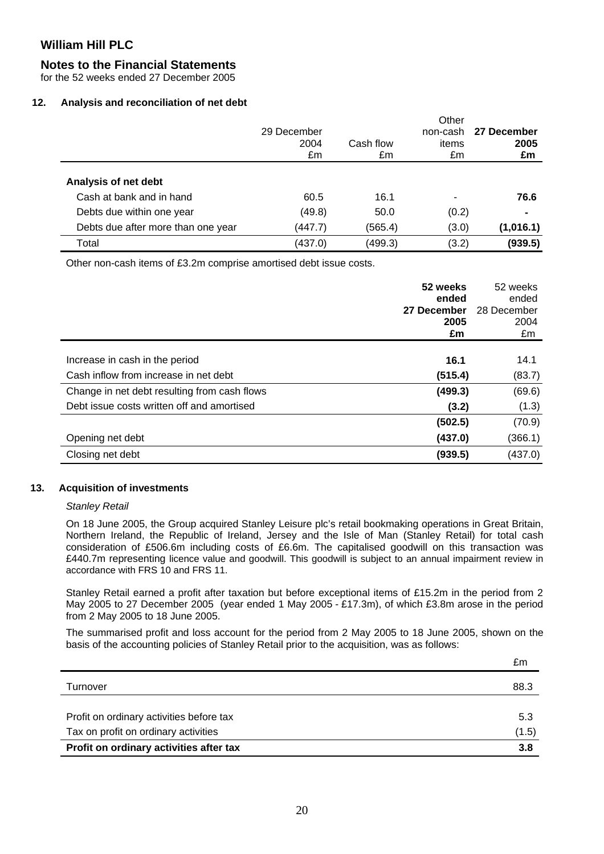### **Notes to the Financial Statements**

for the 52 weeks ended 27 December 2005

#### **12. Analysis and reconciliation of net debt**

|                                    | 29 December<br>2004<br>£m | Cash flow<br>£m | Other<br>non-cash<br>items<br>£m | 27 December<br>2005<br>£m |
|------------------------------------|---------------------------|-----------------|----------------------------------|---------------------------|
| Analysis of net debt               |                           |                 |                                  |                           |
| Cash at bank and in hand           | 60.5                      | 16.1            |                                  | 76.6                      |
| Debts due within one year          | (49.8)                    | 50.0            | (0.2)                            |                           |
| Debts due after more than one year | (447.7)                   | (565.4)         | (3.0)                            | (1,016.1)                 |
| Total                              | (437.0)                   | (499.3)         | (3.2)                            | (939.5)                   |

Other non-cash items of £3.2m comprise amortised debt issue costs.

|                                              | 52 weeks<br>ended<br>27 December<br>2005<br>£m | 52 weeks<br>ended<br>28 December<br>2004<br>£m |
|----------------------------------------------|------------------------------------------------|------------------------------------------------|
|                                              | 16.1                                           |                                                |
| Increase in cash in the period               |                                                | 14.1                                           |
| Cash inflow from increase in net debt        | (515.4)                                        | (83.7)                                         |
| Change in net debt resulting from cash flows | (499.3)                                        | (69.6)                                         |
| Debt issue costs written off and amortised   | (3.2)                                          | (1.3)                                          |
|                                              | (502.5)                                        | (70.9)                                         |
| Opening net debt                             | (437.0)                                        | (366.1)                                        |
| Closing net debt                             | (939.5)                                        | (437.0)                                        |

#### **13. Acquisition of investments**

#### *Stanley Retail*

On 18 June 2005, the Group acquired Stanley Leisure plc's retail bookmaking operations in Great Britain, Northern Ireland, the Republic of Ireland, Jersey and the Isle of Man (Stanley Retail) for total cash consideration of £506.6m including costs of £6.6m. The capitalised goodwill on this transaction was £440.7m representing licence value and goodwill. This goodwill is subject to an annual impairment review in accordance with FRS 10 and FRS 11.

Stanley Retail earned a profit after taxation but before exceptional items of £15.2m in the period from 2 May 2005 to 27 December 2005 (year ended 1 May 2005 - £17.3m), of which £3.8m arose in the period from 2 May 2005 to 18 June 2005.

The summarised profit and loss account for the period from 2 May 2005 to 18 June 2005, shown on the basis of the accounting policies of Stanley Retail prior to the acquisition, was as follows:

|                                          | £m    |
|------------------------------------------|-------|
| Turnover                                 | 88.3  |
| Profit on ordinary activities before tax | 5.3   |
| Tax on profit on ordinary activities     | (1.5) |
| Profit on ordinary activities after tax  | 3.8   |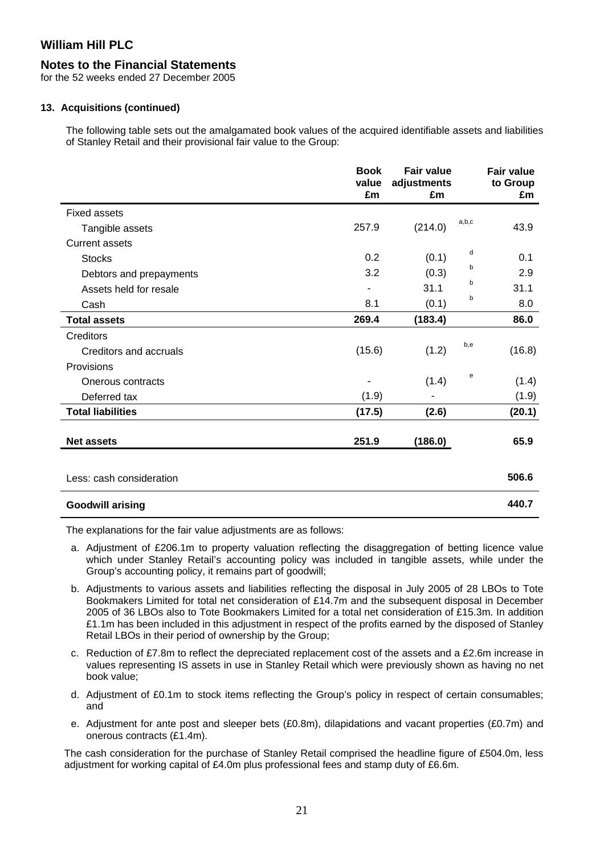### **Notes to the Financial Statements**

for the 52 weeks ended 27 December 2005

#### **13. Acquisitions (continued)**

The following table sets out the amalgamated book values of the acquired identifiable assets and liabilities of Stanley Retail and their provisional fair value to the Group:

|                          | <b>Book</b><br>value<br>£m | <b>Fair value</b><br>adjustments<br>£m |       | <b>Fair value</b><br>to Group<br>£m |
|--------------------------|----------------------------|----------------------------------------|-------|-------------------------------------|
| <b>Fixed assets</b>      |                            |                                        |       |                                     |
| Tangible assets          | 257.9                      | (214.0)                                | a,b,c | 43.9                                |
| <b>Current assets</b>    |                            |                                        |       |                                     |
| <b>Stocks</b>            | 0.2                        | (0.1)                                  | d     | 0.1                                 |
| Debtors and prepayments  | 3.2                        | (0.3)                                  | b     | 2.9                                 |
| Assets held for resale   |                            | 31.1                                   | b     | 31.1                                |
| Cash                     | 8.1                        | (0.1)                                  | b     | 8.0                                 |
| <b>Total assets</b>      | 269.4                      | (183.4)                                |       | 86.0                                |
| Creditors                |                            |                                        |       |                                     |
| Creditors and accruals   | (15.6)                     | (1.2)                                  | b,e   | (16.8)                              |
| Provisions               |                            |                                        |       |                                     |
| Onerous contracts        |                            | (1.4)                                  | е     | (1.4)                               |
| Deferred tax             | (1.9)                      | ۰                                      |       | (1.9)                               |
| <b>Total liabilities</b> | (17.5)                     | (2.6)                                  |       | (20.1)                              |
| <b>Net assets</b>        | 251.9                      | (186.0)                                |       | 65.9                                |
|                          |                            |                                        |       |                                     |
| Less: cash consideration |                            |                                        |       | 506.6                               |
| <b>Goodwill arising</b>  |                            |                                        |       | 440.7                               |

The explanations for the fair value adjustments are as follows:

- a. Adjustment of £206.1m to property valuation reflecting the disaggregation of betting licence value which under Stanley Retail's accounting policy was included in tangible assets, while under the Group's accounting policy, it remains part of goodwill;
- b. Adjustments to various assets and liabilities reflecting the disposal in July 2005 of 28 LBOs to Tote Bookmakers Limited for total net consideration of £14.7m and the subsequent disposal in December 2005 of 36 LBOs also to Tote Bookmakers Limited for a total net consideration of £15.3m. In addition £1.1m has been included in this adjustment in respect of the profits earned by the disposed of Stanley Retail LBOs in their period of ownership by the Group;
- c. Reduction of £7.8m to reflect the depreciated replacement cost of the assets and a £2.6m increase in values representing IS assets in use in Stanley Retail which were previously shown as having no net book value;
- d. Adjustment of £0.1m to stock items reflecting the Group's policy in respect of certain consumables; and
- e. Adjustment for ante post and sleeper bets (£0.8m), dilapidations and vacant properties (£0.7m) and onerous contracts (£1.4m).

The cash consideration for the purchase of Stanley Retail comprised the headline figure of £504.0m, less adjustment for working capital of  $£4.0m$  plus professional fees and stamp duty of  $£6.6m$ .